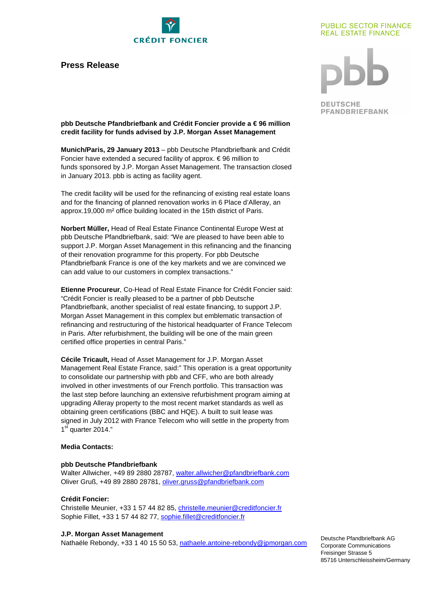

# **Press Release**

# **PUBLIC SECTOR FINANCE REAL ESTATE FINANCE**

**DEUTSCHE PFANDBRIEFBANK** 

**pbb Deutsche Pfandbriefbank and Crédit Foncier provide a € 96 million credit facility for funds advised by J.P. Morgan Asset Management** 

**Munich/Paris, 29 January 2013** – pbb Deutsche Pfandbriefbank and Crédit Foncier have extended a secured facility of approx.  $\epsilon$  96 million to funds sponsored by J.P. Morgan Asset Management. The transaction closed in January 2013. pbb is acting as facility agent.

The credit facility will be used for the refinancing of existing real estate loans and for the financing of planned renovation works in 6 Place d'Alleray, an approx.19,000 m² office building located in the 15th district of Paris.

**Norbert Müller,** Head of Real Estate Finance Continental Europe West at pbb Deutsche Pfandbriefbank, said: "We are pleased to have been able to support J.P. Morgan Asset Management in this refinancing and the financing of their renovation programme for this property. For pbb Deutsche Pfandbriefbank France is one of the key markets and we are convinced we can add value to our customers in complex transactions."

**Etienne Procureur**, Co-Head of Real Estate Finance for Crédit Foncier said: "Crédit Foncier is really pleased to be a partner of pbb Deutsche Pfandbriefbank, another specialist of real estate financing, to support J.P. Morgan Asset Management in this complex but emblematic transaction of refinancing and restructuring of the historical headquarter of France Telecom in Paris. After refurbishment, the building will be one of the main green certified office properties in central Paris."

**Cécile Tricault,** Head of Asset Management for J.P. Morgan Asset Management Real Estate France, said:" This operation is a great opportunity to consolidate our partnership with pbb and CFF, who are both already involved in other investments of our French portfolio. This transaction was the last step before launching an extensive refurbishment program aiming at upgrading Alleray property to the most recent market standards as well as obtaining green certifications (BBC and HQE). A built to suit lease was signed in July 2012 with France Telecom who will settle in the property from 1<sup>st</sup> quarter 2014."

## **Media Contacts:**

#### **pbb Deutsche Pfandbriefbank**

Walter Allwicher, +49 89 2880 28787, walter.allwicher@pfandbriefbank.com Oliver Gruß, +49 89 2880 28781, oliver.gruss@pfandbriefbank.com

# **Crédit Foncier:**

Christelle Meunier, +33 1 57 44 82 85, christelle.meunier@creditfoncier.fr Sophie Fillet, +33 1 57 44 82 77, sophie.fillet@creditfoncier.fr

#### **J.P. Morgan Asset Management**

Nathaële Rebondy, +33 1 40 15 50 53, nathaele.antoine-rebondy@jpmorgan.com

Deutsche Pfandbriefbank AG Corporate Communications Freisinger Strasse 5 85716 Unterschleissheim/Germany